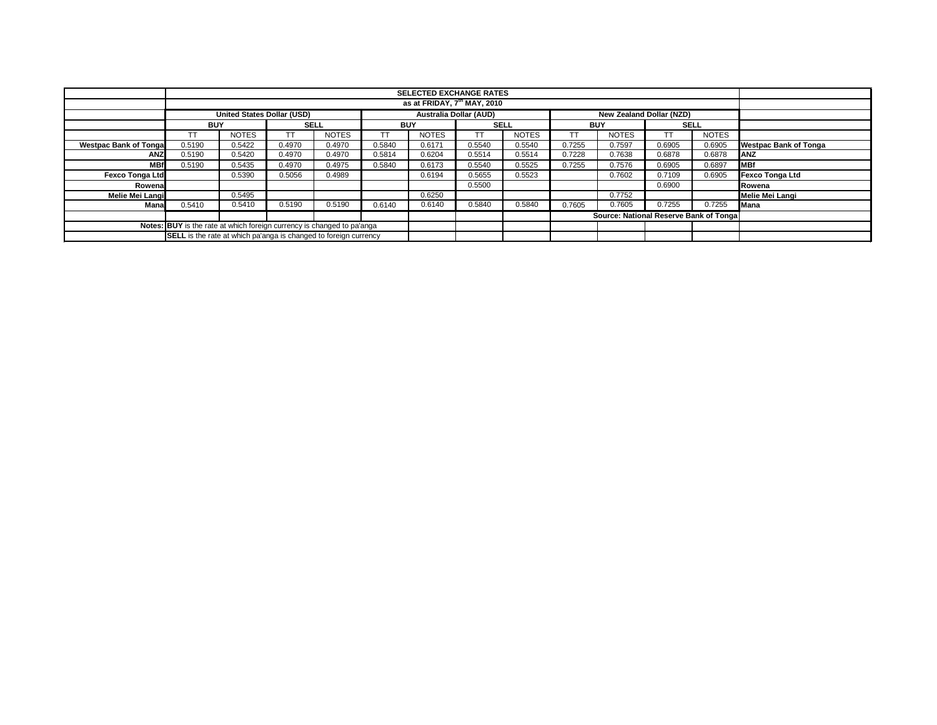|                                                                        |                                                                                  |              |                                                                         |              |            | <b>SELECTED EXCHANGE RATES</b><br>as at FRIDAY, 7 <sup>th</sup> MAY, 2010 |             |              |            |                                        |             |                 |                              |
|------------------------------------------------------------------------|----------------------------------------------------------------------------------|--------------|-------------------------------------------------------------------------|--------------|------------|---------------------------------------------------------------------------|-------------|--------------|------------|----------------------------------------|-------------|-----------------|------------------------------|
|                                                                        |                                                                                  |              |                                                                         |              |            |                                                                           |             |              |            |                                        |             |                 |                              |
|                                                                        | Australia Dollar (AUD)<br>United States Dollar (USD)<br>New Zealand Dollar (NZD) |              |                                                                         |              |            |                                                                           |             |              |            |                                        |             |                 |                              |
|                                                                        | <b>BUY</b>                                                                       |              | <b>SELL</b>                                                             |              | <b>BUY</b> |                                                                           | <b>SELL</b> |              | <b>BUY</b> |                                        | <b>SELL</b> |                 |                              |
|                                                                        | TT                                                                               | <b>NOTES</b> | TT                                                                      | <b>NOTES</b> | <b>TT</b>  | <b>NOTES</b>                                                              | TT          | <b>NOTES</b> | TT         | <b>NOTES</b>                           |             | <b>NOTES</b>    |                              |
| <b>Westpac Bank of Tongal</b>                                          | 0.5190                                                                           | 0.5422       | 0.4970                                                                  | 0.4970       | 0.5840     | 0.6171                                                                    | 0.5540      | 0.5540       | 0.7255     | 0.7597                                 | 0.6905      | 0.6905          | <b>Westpac Bank of Tonga</b> |
| <b>ANZ</b>                                                             | 0.5190                                                                           | 0.5420       | 0.4970                                                                  | 0.4970       | 0.5814     | 0.6204                                                                    | 0.5514      | 0.5514       | 0.7228     | 0.7638                                 | 0.6878      | 0.6878          | <b>ANZ</b>                   |
| <b>MBf</b>                                                             | 0.5190                                                                           | 0.5435       | 0.4970                                                                  | 0.4975       | 0.5840     | 0.6173                                                                    | 0.5540      | 0.5525       | 0.7255     | 0.7576                                 | 0.6905      | 0.6897          | <b>MBf</b>                   |
| <b>Fexco Tonga Ltd</b>                                                 |                                                                                  | 0.5390       | 0.5056                                                                  | 0.4989       |            | 0.6194                                                                    | 0.5655      | 0.5523       |            | 0.7602                                 | 0.7109      | 0.6905          | <b>Fexco Tonga Ltd</b>       |
| Rowena                                                                 |                                                                                  |              |                                                                         |              |            |                                                                           | 0.5500      |              |            |                                        | 0.6900      |                 | Rowena                       |
| Melie Mei Langi                                                        | 0.5495<br>0.6250                                                                 |              |                                                                         |              |            |                                                                           |             |              | 0.7752     |                                        |             | Melie Mei Langi |                              |
| Mana                                                                   | 0.5410                                                                           | 0.5410       | 0.5190                                                                  | 0.5190       | 0.6140     | 0.6140                                                                    | 0.5840      | 0.5840       | 0.7605     | 0.7605                                 | 0.7255      | 0.7255          | Mana                         |
|                                                                        |                                                                                  |              |                                                                         |              |            |                                                                           |             |              |            | Source: National Reserve Bank of Tonga |             |                 |                              |
| Notes: BUY is the rate at which foreign currency is changed to pa'anga |                                                                                  |              |                                                                         |              |            |                                                                           |             |              |            |                                        |             |                 |                              |
|                                                                        |                                                                                  |              | <b>SELL</b> is the rate at which pa'anga is changed to foreign currency |              |            |                                                                           |             |              |            |                                        |             |                 |                              |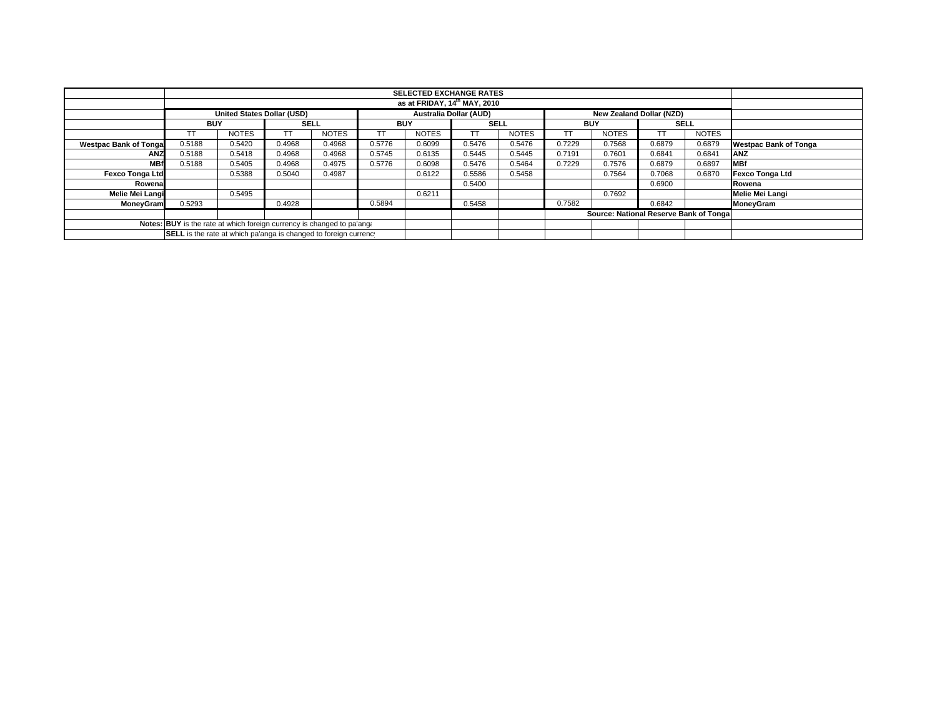|                              | <b>SELECTED EXCHANGE RATES</b>                                                                 |              |        |              |            |              |             |              |            |                                        |             |              |                              |
|------------------------------|------------------------------------------------------------------------------------------------|--------------|--------|--------------|------------|--------------|-------------|--------------|------------|----------------------------------------|-------------|--------------|------------------------------|
|                              |                                                                                                |              |        |              |            |              |             |              |            |                                        |             |              |                              |
|                              | <b>United States Dollar (USD)</b><br><b>Australia Dollar (AUD)</b><br>New Zealand Dollar (NZD) |              |        |              |            |              |             |              |            |                                        |             |              |                              |
|                              | <b>BUY</b>                                                                                     |              |        | <b>SELL</b>  | <b>BUY</b> |              | <b>SELL</b> |              | <b>BUY</b> |                                        | <b>SELL</b> |              |                              |
|                              |                                                                                                | <b>NOTES</b> |        | <b>NOTES</b> | TT         | <b>NOTES</b> | TT          | <b>NOTES</b> |            | <b>NOTES</b>                           |             | <b>NOTES</b> |                              |
| <b>Westpac Bank of Tonga</b> | 0.5188                                                                                         | 0.5420       | 0.4968 | 0.4968       | 0.5776     | 0.6099       | 0.5476      | 0.5476       | 0.7229     | 0.7568                                 | 0.6879      | 0.6879       | <b>Westpac Bank of Tonga</b> |
| ANZ                          | 0.5188                                                                                         | 0.5418       | 0.4968 | 0.4968       | 0.5745     | 0.6135       | 0.5445      | 0.5445       | 0.7191     | 0.7601                                 | 0.6841      | 0.6841       | <b>ANZ</b>                   |
| <b>MBf</b>                   | 0.5188                                                                                         | 0.5405       | 0.4968 | 0.4975       | 0.5776     | 0.6098       | 0.5476      | 0.5464       | 0.7229     | 0.7576                                 | 0.6879      | 0.6897       | <b>MBf</b>                   |
| <b>Fexco Tonga Ltd</b>       |                                                                                                | 0.5388       | 0.5040 | 0.4987       |            | 0.6122       | 0.5586      | 0.5458       |            | 0.7564                                 | 0.7068      | 0.6870       | Fexco Tonga Ltd              |
| Rowena                       |                                                                                                |              |        |              |            |              | 0.5400      |              |            |                                        | 0.6900      |              | Rowena                       |
| Melie Mei Langi              |                                                                                                | 0.5495       |        |              |            | 0.6211       |             |              |            | 0.7692                                 |             |              | <b>Melie Mei Langi</b>       |
| MoneyGram                    | 0.5293                                                                                         |              | 0.4928 |              | 0.5894     |              | 0.5458      |              | 0.7582     |                                        | 0.6842      |              | MoneyGram                    |
|                              |                                                                                                |              |        |              |            |              |             |              |            | Source: National Reserve Bank of Tonga |             |              |                              |
|                              | Notes: BUY is the rate at which foreign currency is changed to pa'ang.                         |              |        |              |            |              |             |              |            |                                        |             |              |                              |
|                              | SELL is the rate at which pa'anga is changed to foreign currency                               |              |        |              |            |              |             |              |            |                                        |             |              |                              |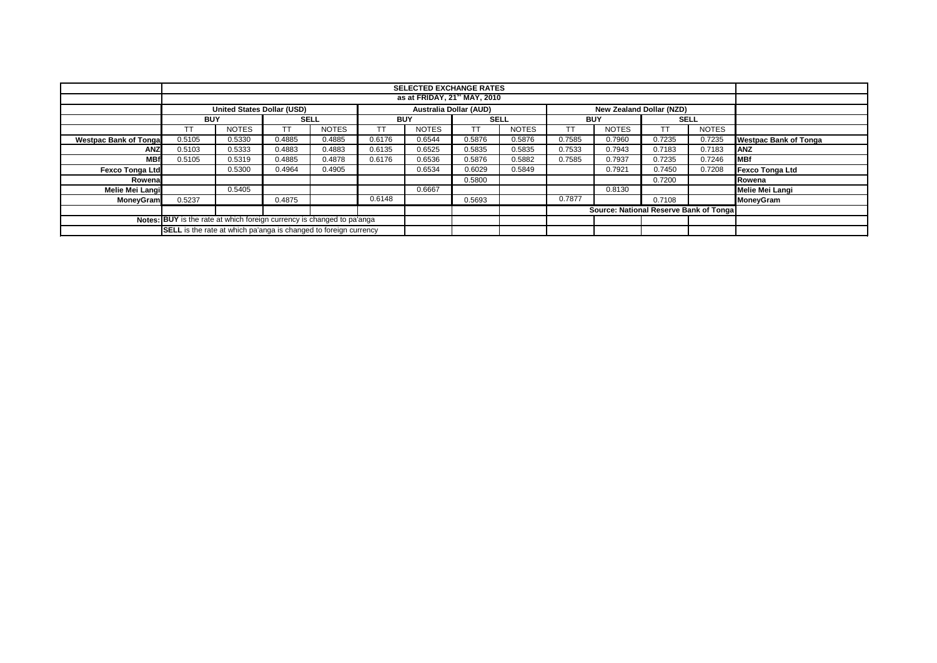|                              | <b>SELECTED EXCHANGE RATES</b>                                                                        |                                          |             |              |            |              |             |              |            |                                         |             |              |                              |
|------------------------------|-------------------------------------------------------------------------------------------------------|------------------------------------------|-------------|--------------|------------|--------------|-------------|--------------|------------|-----------------------------------------|-------------|--------------|------------------------------|
|                              |                                                                                                       | as at FRIDAY, 21 <sup>st</sup> MAY, 2010 |             |              |            |              |             |              |            |                                         |             |              |                              |
|                              |                                                                                                       |                                          |             |              |            |              |             |              |            |                                         |             |              |                              |
|                              | <b>Australia Dollar (AUD)</b><br><b>United States Dollar (USD)</b><br><b>New Zealand Dollar (NZD)</b> |                                          |             |              |            |              |             |              |            |                                         |             |              |                              |
|                              | <b>BUY</b>                                                                                            |                                          | <b>SELL</b> |              | <b>BUY</b> |              | <b>SELL</b> |              | <b>BUY</b> |                                         | <b>SELL</b> |              |                              |
|                              | ТT                                                                                                    | <b>NOTES</b>                             |             | <b>NOTES</b> | TT         | <b>NOTES</b> |             | <b>NOTES</b> |            | <b>NOTES</b>                            | TT          | <b>NOTES</b> |                              |
| <b>Westpac Bank of Tonga</b> | 0.5105                                                                                                | 0.5330                                   | 0.4885      | 0.4885       | 0.6176     | 0.6544       | 0.5876      | 0.5876       | 0.7585     | 0.7960                                  | 0.7235      | 0.7235       | <b>Westpac Bank of Tonga</b> |
| <b>ANZ</b>                   | 0.5103                                                                                                | 0.5333                                   | 0.4883      | 0.4883       | 0.6135     | 0.6525       | 0.5835      | 0.5835       | 0.7533     | 0.7943                                  | 0.7183      | 0.7183       | <b>ANZ</b>                   |
| <b>MBf</b>                   | 0.5105                                                                                                | 0.5319                                   | 0.4885      | 0.4878       | 0.6176     | 0.6536       | 0.5876      | 0.5882       | 0.7585     | 0.7937                                  | 0.7235      | 0.7246       | MBf                          |
| <b>Fexco Tonga Ltd</b>       |                                                                                                       | 0.5300                                   | 0.4964      | 0.4905       |            | 0.6534       | 0.6029      | 0.5849       |            | 0.7921                                  | 0.7450      | 0.7208       | Fexco Tonga Ltd              |
| Rowena                       |                                                                                                       |                                          |             |              |            |              | 0.5800      |              |            |                                         | Rowena      |              |                              |
| Melie Mei Langi              |                                                                                                       | 0.5405                                   |             |              |            | 0.6667       |             |              |            | 0.8130                                  |             |              | Melie Mei Langi              |
| <b>MoneyGram</b>             | 0.5237                                                                                                |                                          | 0.4875      |              | 0.6148     |              | 0.5693      |              | 0.7877     |                                         | 0.7108      |              | <b>MoneyGram</b>             |
|                              |                                                                                                       |                                          |             |              |            |              |             |              |            | Source: National Reserve Bank of Tongal |             |              |                              |
|                              | Notes: BUY is the rate at which foreign currency is changed to pa'anga                                |                                          |             |              |            |              |             |              |            |                                         |             |              |                              |
|                              | <b>SELL</b> is the rate at which pa'anga is changed to foreign currency                               |                                          |             |              |            |              |             |              |            |                                         |             |              |                              |